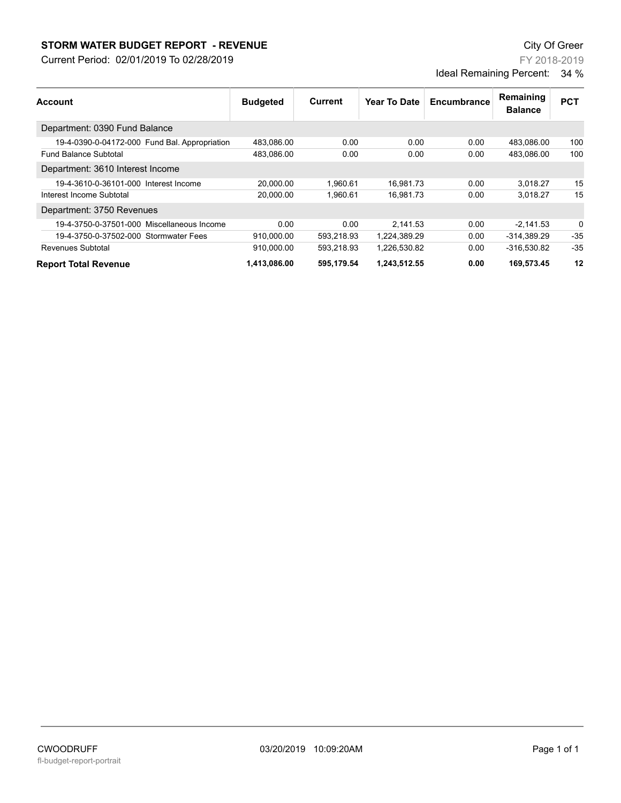## **STORM WATER BUDGET REPORT - REVENUE CONSUMPTER BUDGET REPORT - REVENUE**

Current Period: 02/01/2019 To 02/28/2019

FY 2018-2019 Ideal Remaining Percent: 34 %

| Account                                       | <b>Budgeted</b> | Current    | Year To Date | Encumbrance | Remaining<br><b>Balance</b> | <b>PCT</b> |
|-----------------------------------------------|-----------------|------------|--------------|-------------|-----------------------------|------------|
| Department: 0390 Fund Balance                 |                 |            |              |             |                             |            |
| 19-4-0390-0-04172-000 Fund Bal. Appropriation | 483.086.00      | 0.00       | 0.00         | 0.00        | 483,086.00                  | 100        |
| <b>Fund Balance Subtotal</b>                  | 483.086.00      | 0.00       | 0.00         | 0.00        | 483.086.00                  | 100        |
| Department: 3610 Interest Income              |                 |            |              |             |                             |            |
| 19-4-3610-0-36101-000 Interest Income         | 20.000.00       | 1.960.61   | 16.981.73    | 0.00        | 3.018.27                    | 15         |
| Interest Income Subtotal                      | 20,000.00       | 1,960.61   | 16,981.73    | 0.00        | 3,018.27                    | 15         |
| Department: 3750 Revenues                     |                 |            |              |             |                             |            |
| 19-4-3750-0-37501-000 Miscellaneous Income    | 0.00            | 0.00       | 2.141.53     | 0.00        | $-2,141.53$                 | 0          |
| 19-4-3750-0-37502-000 Stormwater Fees         | 910,000.00      | 593,218.93 | 1,224,389.29 | 0.00        | -314,389.29                 | $-35$      |
| Revenues Subtotal                             | 910,000.00      | 593,218.93 | 1,226,530.82 | 0.00        | -316,530.82                 | $-35$      |
| <b>Report Total Revenue</b>                   | 1.413.086.00    | 595,179.54 | 1.243.512.55 | 0.00        | 169,573.45                  | 12         |